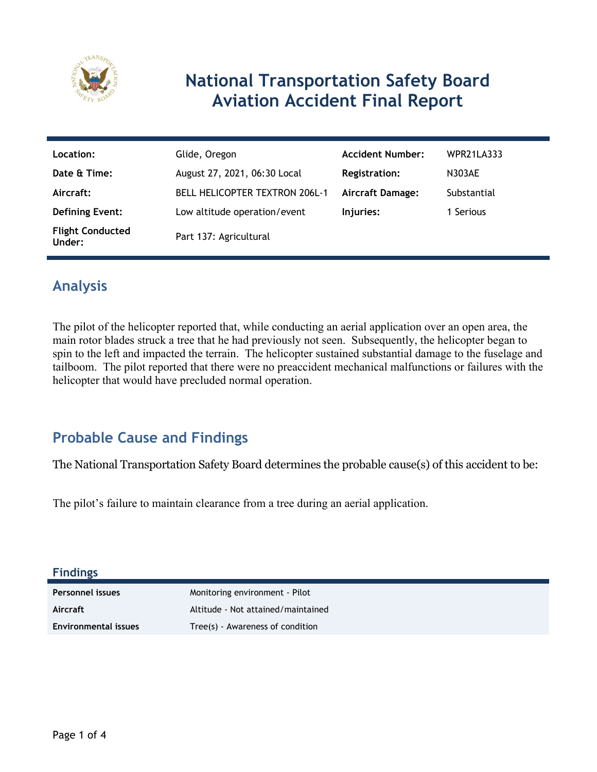

## **National Transportation Safety Board Aviation Accident Final Report**

| Location:                         | Glide, Oregon                         | <b>Accident Number:</b> | <b>WPR21LA333</b> |
|-----------------------------------|---------------------------------------|-------------------------|-------------------|
| Date & Time:                      | August 27, 2021, 06:30 Local          | Registration:           | N303AE            |
| Aircraft:                         | <b>BELL HELICOPTER TEXTRON 206L-1</b> | <b>Aircraft Damage:</b> | Substantial       |
| <b>Defining Event:</b>            | Low altitude operation/event          | Injuries:               | 1 Serious         |
| <b>Flight Conducted</b><br>Under: | Part 137: Agricultural                |                         |                   |

### **Analysis**

The pilot of the helicopter reported that, while conducting an aerial application over an open area, the main rotor blades struck a tree that he had previously not seen. Subsequently, the helicopter began to spin to the left and impacted the terrain. The helicopter sustained substantial damage to the fuselage and tailboom. The pilot reported that there were no preaccident mechanical malfunctions or failures with the helicopter that would have precluded normal operation.

### **Probable Cause and Findings**

The National Transportation Safety Board determines the probable cause(s) of this accident to be:

The pilot's failure to maintain clearance from a tree during an aerial application.

#### **Findings**

| Personnel issues            | Monitoring environment - Pilot     |
|-----------------------------|------------------------------------|
| Aircraft                    | Altitude - Not attained/maintained |
| <b>Environmental issues</b> | Tree(s) - Awareness of condition   |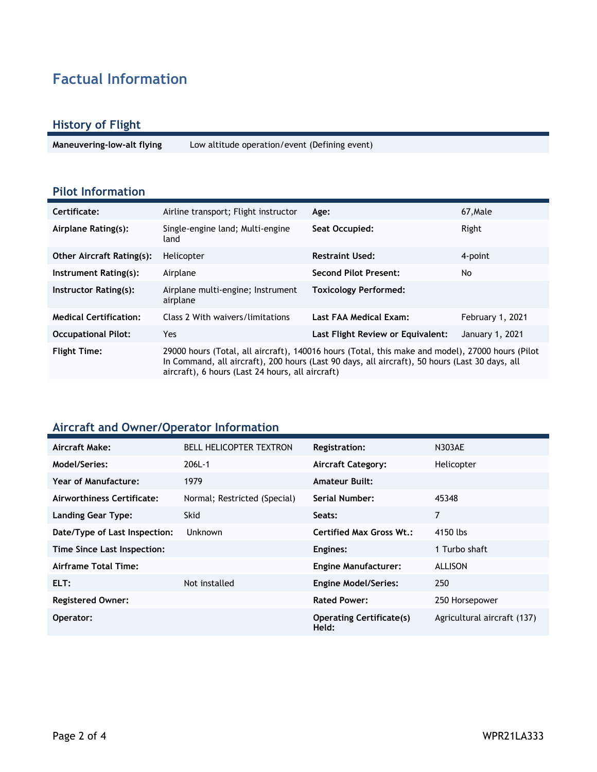### **Factual Information**

#### **History of Flight**

**Maneuvering-low-alt flying** Low altitude operation/event (Defining event)

#### **Pilot Information**

| Certificate:                     | Airline transport; Flight instructor                                                                                                                                                                                                                   | Age:                              | 67.Male          |
|----------------------------------|--------------------------------------------------------------------------------------------------------------------------------------------------------------------------------------------------------------------------------------------------------|-----------------------------------|------------------|
| Airplane Rating(s):              | Single-engine land; Multi-engine<br>land                                                                                                                                                                                                               | Seat Occupied:                    | Right            |
| <b>Other Aircraft Rating(s):</b> | Helicopter                                                                                                                                                                                                                                             | <b>Restraint Used:</b>            | 4-point          |
| Instrument Rating(s):            | Airplane                                                                                                                                                                                                                                               | <b>Second Pilot Present:</b>      | No               |
| Instructor Rating(s):            | Airplane multi-engine; Instrument<br>airplane                                                                                                                                                                                                          | <b>Toxicology Performed:</b>      |                  |
| <b>Medical Certification:</b>    | Class 2 With waivers/limitations                                                                                                                                                                                                                       | Last FAA Medical Exam:            | February 1, 2021 |
| <b>Occupational Pilot:</b>       | Yes.                                                                                                                                                                                                                                                   | Last Flight Review or Equivalent: | January 1, 2021  |
| <b>Flight Time:</b>              | 29000 hours (Total, all aircraft), 140016 hours (Total, this make and model), 27000 hours (Pilot<br>In Command, all aircraft), 200 hours (Last 90 days, all aircraft), 50 hours (Last 30 days, all<br>aircraft), 6 hours (Last 24 hours, all aircraft) |                                   |                  |

### **Aircraft and Owner/Operator Information**

| Aircraft Make:                | <b>BELL HELICOPTER TEXTRON</b> | Registration:                            | <b>N303AE</b>               |
|-------------------------------|--------------------------------|------------------------------------------|-----------------------------|
| Model/Series:                 | 206L-1                         | <b>Aircraft Category:</b>                | Helicopter                  |
| Year of Manufacture:          | 1979                           | <b>Amateur Built:</b>                    |                             |
| Airworthiness Certificate:    | Normal; Restricted (Special)   | Serial Number:                           | 45348                       |
| <b>Landing Gear Type:</b>     | <b>Skid</b>                    | Seats:                                   | 7                           |
| Date/Type of Last Inspection: | Unknown                        | <b>Certified Max Gross Wt.:</b>          | 4150 lbs                    |
| Time Since Last Inspection:   |                                | Engines:                                 | 1 Turbo shaft               |
| Airframe Total Time:          |                                | <b>Engine Manufacturer:</b>              | ALLISON                     |
| ELT:                          | Not installed                  | <b>Engine Model/Series:</b>              | 250                         |
| <b>Registered Owner:</b>      |                                | <b>Rated Power:</b>                      | 250 Horsepower              |
| Operator:                     |                                | <b>Operating Certificate(s)</b><br>Held: | Agricultural aircraft (137) |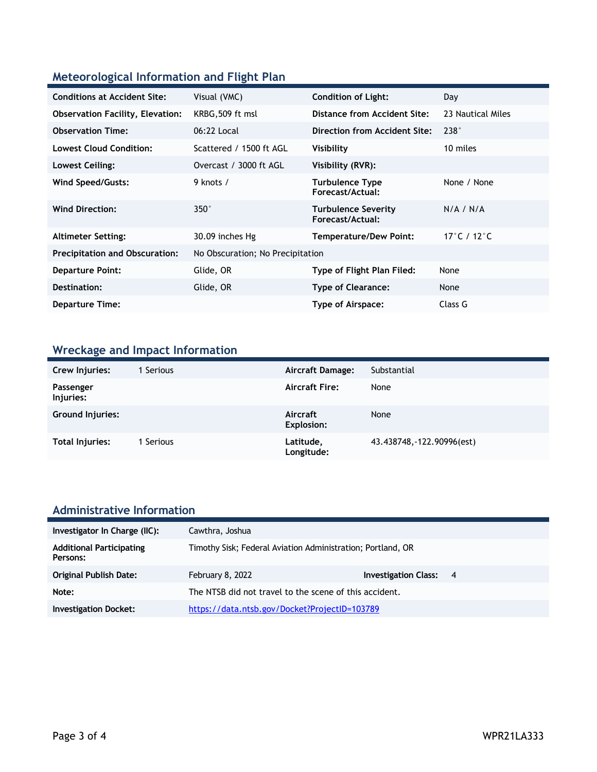### **Meteorological Information and Flight Plan**

| <b>Conditions at Accident Site:</b>     | Visual (VMC)                     | <b>Condition of Light:</b>                     | Day               |
|-----------------------------------------|----------------------------------|------------------------------------------------|-------------------|
| <b>Observation Facility, Elevation:</b> | KRBG, 509 ft msl                 | Distance from Accident Site:                   | 23 Nautical Miles |
| <b>Observation Time:</b>                | 06:22 Local                      | Direction from Accident Site:                  | 238°              |
| <b>Lowest Cloud Condition:</b>          | Scattered / 1500 ft AGL          | Visibility                                     | 10 miles          |
| Lowest Ceiling:                         | Overcast / 3000 ft AGL           | Visibility (RVR):                              |                   |
| Wind Speed/Gusts:                       | 9 knots /                        | <b>Turbulence Type</b><br>Forecast/Actual:     | None / None       |
| <b>Wind Direction:</b>                  | $350^\circ$                      | <b>Turbulence Severity</b><br>Forecast/Actual: | N/A / N/A         |
| <b>Altimeter Setting:</b>               | 30.09 inches Hg                  | <b>Temperature/Dew Point:</b>                  | 17°C / 12°C       |
| <b>Precipitation and Obscuration:</b>   | No Obscuration; No Precipitation |                                                |                   |
| <b>Departure Point:</b>                 | Glide, OR                        | Type of Flight Plan Filed:                     | None              |
| Destination:                            | Glide, OR                        | <b>Type of Clearance:</b>                      | None              |
| <b>Departure Time:</b>                  |                                  | Type of Airspace:                              | Class G           |

### **Wreckage and Impact Information**

| Crew Injuries:         | 1 Serious | <b>Aircraft Damage:</b>       | Substantial                |
|------------------------|-----------|-------------------------------|----------------------------|
| Passenger<br>Injuries: |           | <b>Aircraft Fire:</b>         | None                       |
| Ground Injuries:       |           | Aircraft<br><b>Explosion:</b> | None                       |
| <b>Total Injuries:</b> | Serious   | Latitude,<br>Longitude:       | 43.438748, -122.90996(est) |

# **Administrative Information**

| Investigator In Charge (IIC):               | Cawthra, Joshua                                             |                               |  |
|---------------------------------------------|-------------------------------------------------------------|-------------------------------|--|
| <b>Additional Participating</b><br>Persons: | Timothy Sisk; Federal Aviation Administration; Portland, OR |                               |  |
| <b>Original Publish Date:</b>               | February 8, 2022                                            | <b>Investigation Class: 4</b> |  |
| Note:                                       | The NTSB did not travel to the scene of this accident.      |                               |  |
| <b>Investigation Docket:</b>                | https://data.ntsb.gov/Docket?ProjectID=103789               |                               |  |